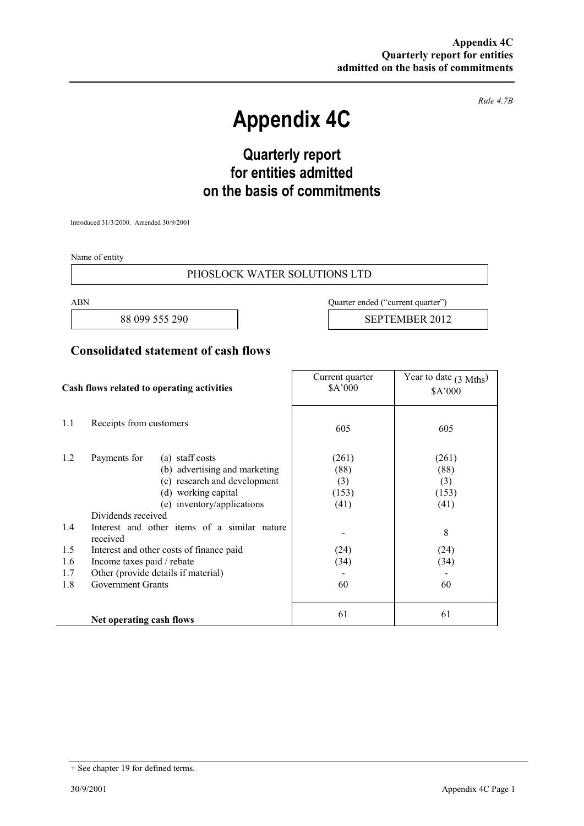*Rule 4.7B* 

# **Appendix 4C**

# **Quarterly report for entities admitted on the basis of commitments**

Introduced 31/3/2000. Amended 30/9/2001

Name of entity

#### PHOSLOCK WATER SOLUTIONS LTD

ABN Quarter ended ("current quarter")

88 099 555 290 | SEPTEMBER 2012

### **Consolidated statement of cash flows**

| Cash flows related to operating activities |                                                                                                                                                       | Current quarter<br>\$A'000            | Year to date $(3 \text{ Mths})$<br>\$A'000 |
|--------------------------------------------|-------------------------------------------------------------------------------------------------------------------------------------------------------|---------------------------------------|--------------------------------------------|
| 1.1                                        | Receipts from customers                                                                                                                               | 605                                   | 605                                        |
| 1.2                                        | Payments for<br>(a) staff costs<br>(b) advertising and marketing<br>(c) research and development<br>(d) working capital<br>(e) inventory/applications | (261)<br>(88)<br>(3)<br>(153)<br>(41) | (261)<br>(88)<br>(3)<br>(153)<br>(41)      |
| 1.4                                        | Dividends received<br>Interest and other items of a similar nature<br>received                                                                        |                                       | 8                                          |
| 1.5                                        | Interest and other costs of finance paid                                                                                                              | (24)                                  | (24)                                       |
| 1.6                                        | Income taxes paid / rebate                                                                                                                            | (34)                                  | (34)                                       |
| 1.7                                        | Other (provide details if material)                                                                                                                   |                                       |                                            |
| 1.8                                        | <b>Government Grants</b>                                                                                                                              | 60                                    | 60                                         |
|                                            | Net operating cash flows                                                                                                                              | 61                                    | 61                                         |

<sup>+</sup> See chapter 19 for defined terms.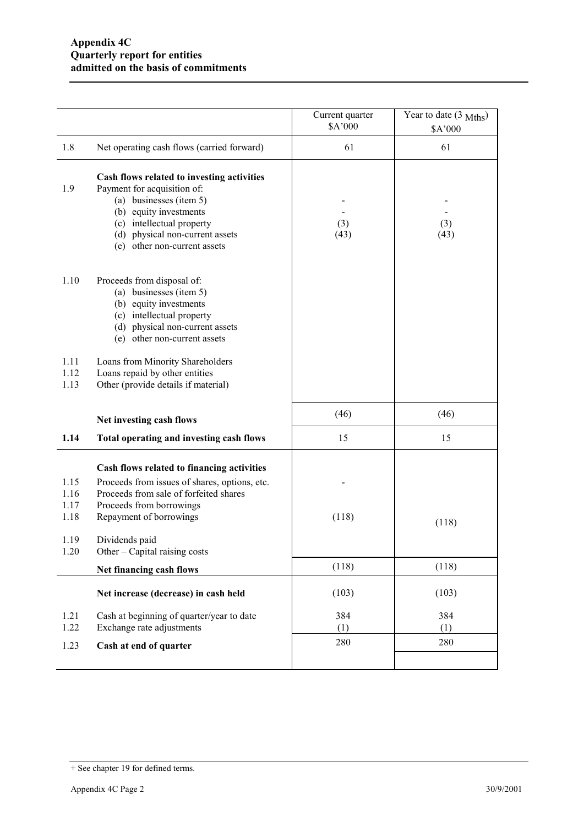|                              |                                                                                                                                                                                                                                | Current quarter<br>\$A'000 | Year to date $(3 \text{ Mths})$<br>\$A'000 |
|------------------------------|--------------------------------------------------------------------------------------------------------------------------------------------------------------------------------------------------------------------------------|----------------------------|--------------------------------------------|
| 1.8                          | Net operating cash flows (carried forward)                                                                                                                                                                                     | 61                         | 61                                         |
| 1.9                          | Cash flows related to investing activities<br>Payment for acquisition of:<br>(a) businesses (item 5)<br>(b) equity investments<br>(c) intellectual property<br>(d) physical non-current assets<br>(e) other non-current assets | (3)<br>(43)                | (3)<br>(43)                                |
| 1.10                         | Proceeds from disposal of:<br>(a) businesses (item 5)<br>(b) equity investments<br>(c) intellectual property<br>(d) physical non-current assets<br>(e) other non-current assets                                                |                            |                                            |
| 1.11<br>1.12<br>1.13         | Loans from Minority Shareholders<br>Loans repaid by other entities<br>Other (provide details if material)                                                                                                                      |                            |                                            |
|                              | Net investing cash flows                                                                                                                                                                                                       | (46)                       | (46)                                       |
| 1.14                         | Total operating and investing cash flows                                                                                                                                                                                       | 15                         | 15                                         |
| 1.15<br>1.16<br>1.17<br>1.18 | Cash flows related to financing activities<br>Proceeds from issues of shares, options, etc.<br>Proceeds from sale of forfeited shares<br>Proceeds from borrowings<br>Repayment of borrowings                                   | (118)                      | (118)                                      |
| 1.19<br>1.20                 | Dividends paid<br>Other – Capital raising costs                                                                                                                                                                                |                            |                                            |
|                              | Net financing cash flows                                                                                                                                                                                                       | (118)                      | (118)                                      |
|                              | Net increase (decrease) in cash held                                                                                                                                                                                           | (103)                      | (103)                                      |
| 1.21<br>1.22                 | Cash at beginning of quarter/year to date<br>Exchange rate adjustments                                                                                                                                                         | 384<br>(1)                 | 384<br>(1)                                 |
| 1.23                         | Cash at end of quarter                                                                                                                                                                                                         | 280                        | 280                                        |
|                              |                                                                                                                                                                                                                                |                            |                                            |

<sup>+</sup> See chapter 19 for defined terms.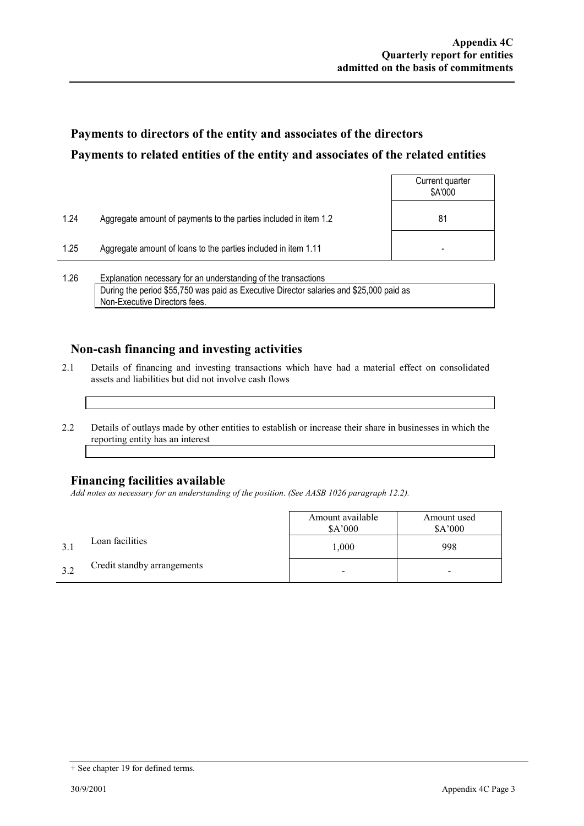## **Payments to directors of the entity and associates of the directors Payments to related entities of the entity and associates of the related entities**

|      |                                                                  | Current quarter<br>\$A'000 |
|------|------------------------------------------------------------------|----------------------------|
| 1.24 | Aggregate amount of payments to the parties included in item 1.2 | 81                         |
| 1.25 | Aggregate amount of loans to the parties included in item 1.11   | -                          |
|      |                                                                  |                            |

1.26 Explanation necessary for an understanding of the transactions During the period \$55,750 was paid as Executive Director salaries and \$25,000 paid as Non-Executive Directors fees.

### **Non-cash financing and investing activities**

- 2.1 Details of financing and investing transactions which have had a material effect on consolidated assets and liabilities but did not involve cash flows
- 2.2 Details of outlays made by other entities to establish or increase their share in businesses in which the reporting entity has an interest

#### **Financing facilities available**

*Add notes as necessary for an understanding of the position. (See AASB 1026 paragraph 12.2).* 

|     |                             | Amount available<br>\$A'000 | Amount used<br>\$A'000 |
|-----|-----------------------------|-----------------------------|------------------------|
|     | Loan facilities             | 1,000                       | 998                    |
| 3.2 | Credit standby arrangements |                             |                        |

<sup>+</sup> See chapter 19 for defined terms.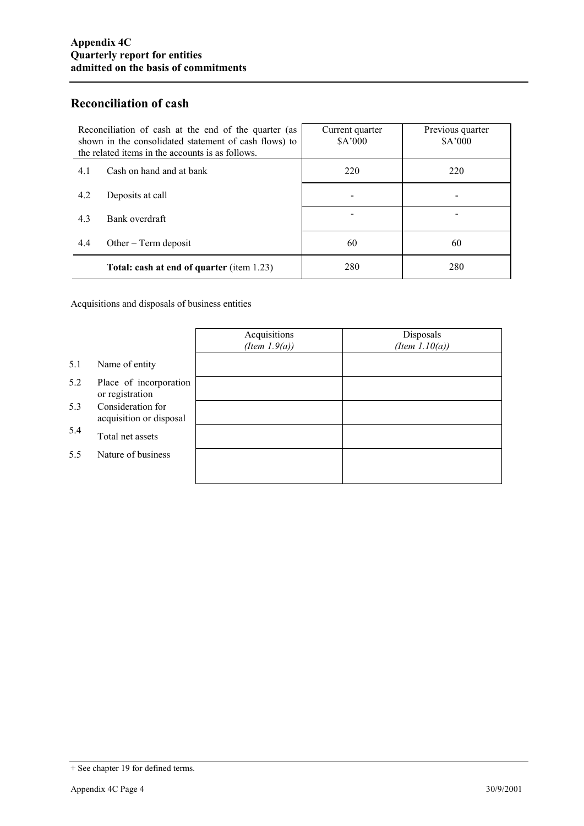### **Reconciliation of cash**

| Reconciliation of cash at the end of the quarter (as<br>shown in the consolidated statement of cash flows) to<br>the related items in the accounts is as follows. | Current quarter<br>\$A'000 | Previous quarter<br>\$A'000 |
|-------------------------------------------------------------------------------------------------------------------------------------------------------------------|----------------------------|-----------------------------|
| Cash on hand and at bank<br>4.1                                                                                                                                   | 220                        | 220                         |
| 4.2<br>Deposits at call                                                                                                                                           |                            |                             |
| 4.3<br>Bank overdraft                                                                                                                                             |                            |                             |
| 4.4<br>Other $-$ Term deposit                                                                                                                                     | 60                         | 60                          |
| <b>Total: cash at end of quarter (item 1.23)</b>                                                                                                                  | 280                        | 280                         |

Acquisitions and disposals of business entities

|     |                                              | Acquisitions<br>(Item $1.9(a)$ ) | Disposals<br>(Item $1.10(a)$ ) |
|-----|----------------------------------------------|----------------------------------|--------------------------------|
| 5.1 | Name of entity                               |                                  |                                |
| 5.2 | Place of incorporation<br>or registration    |                                  |                                |
| 5.3 | Consideration for<br>acquisition or disposal |                                  |                                |
| 5.4 | Total net assets                             |                                  |                                |
| 5.5 | Nature of business                           |                                  |                                |
|     |                                              |                                  |                                |

<sup>+</sup> See chapter 19 for defined terms.